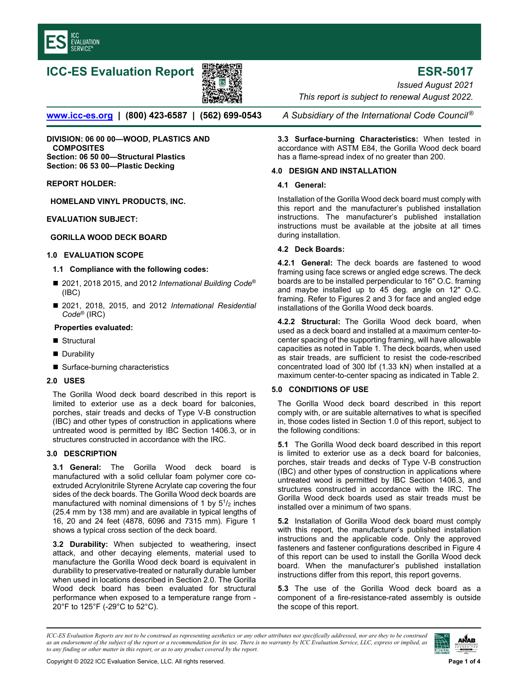

# **ICC-ES Evaluation Report ESR-5017**



*Issued August 2021* 

*This report is subject to renewal August 2022.* 

**www.icc-es.org | (800) 423-6587 | (562) 699-0543** *A Subsidiary of the International Code Council ®* 

**DIVISION: 06 00 00—WOOD, PLASTICS AND COMPOSITES Section: 06 50 00—Structural Plastics Section: 06 53 00—Plastic Decking** 

## **REPORT HOLDER:**

**HOMELAND VINYL PRODUCTS, INC.** 

## **EVALUATION SUBJECT:**

## **GORILLA WOOD DECK BOARD**

#### **1.0 EVALUATION SCOPE**

#### **1.1 Compliance with the following codes:**

- 2021, 2018 2015, and 2012 *International Building Code<sup>®</sup>* (IBC)
- 2021, 2018, 2015, and 2012 *International Residential Code*® (IRC)

#### **Properties evaluated:**

- Structural
- **Durability**
- Surface-burning characteristics

#### **2.0 USES**

The Gorilla Wood deck board described in this report is limited to exterior use as a deck board for balconies, porches, stair treads and decks of Type V-B construction (IBC) and other types of construction in applications where untreated wood is permitted by IBC Section 1406.3, or in structures constructed in accordance with the IRC.

## **3.0 DESCRIPTION**

**3.1 General:** The Gorilla Wood deck board is manufactured with a solid cellular foam polymer core coextruded Acrylonitrile Styrene Acrylate cap covering the four sides of the deck boards. The Gorilla Wood deck boards are manufactured with nominal dimensions of 1 by  $5^{1}/2$  inches (25.4 mm by 138 mm) and are available in typical lengths of 16, 20 and 24 feet (4878, 6096 and 7315 mm). Figure 1 shows a typical cross section of the deck board.

**3.2 Durability:** When subjected to weathering, insect attack, and other decaying elements, material used to manufacture the Gorilla Wood deck board is equivalent in durability to preservative-treated or naturally durable lumber when used in locations described in Section 2.0. The Gorilla Wood deck board has been evaluated for structural performance when exposed to a temperature range from - 20°F to 125°F (-29°C to 52°C).

**3.3 Surface-burning Characteristics:** When tested in accordance with ASTM E84, the Gorilla Wood deck board has a flame-spread index of no greater than 200.

## **4.0 DESIGN AND INSTALLATION**

## **4.1 General:**

Installation of the Gorilla Wood deck board must comply with this report and the manufacturer's published installation instructions. The manufacturer's published installation instructions must be available at the jobsite at all times during installation.

## **4.2 Deck Boards:**

**4.2.1 General:** The deck boards are fastened to wood framing using face screws or angled edge screws. The deck boards are to be installed perpendicular to 16" O.C. framing and maybe installed up to 45 deg. angle on 12" O.C. framing. Refer to Figures 2 and 3 for face and angled edge installations of the Gorilla Wood deck boards.

**4.2.2 Structural:** The Gorilla Wood deck board, when used as a deck board and installed at a maximum center-tocenter spacing of the supporting framing, will have allowable capacities as noted in Table 1. The deck boards, when used as stair treads, are sufficient to resist the code-rescribed concentrated load of 300 lbf (1.33 kN) when installed at a maximum center-to-center spacing as indicated in Table 2.

## **5.0 CONDITIONS OF USE**

The Gorilla Wood deck board described in this report comply with, or are suitable alternatives to what is specified in, those codes listed in Section 1.0 of this report, subject to the following conditions:

**5.1** The Gorilla Wood deck board described in this report is limited to exterior use as a deck board for balconies, porches, stair treads and decks of Type V-B construction (IBC) and other types of construction in applications where untreated wood is permitted by IBC Section 1406.3, and structures constructed in accordance with the IRC. The Gorilla Wood deck boards used as stair treads must be installed over a minimum of two spans.

**5.2** Installation of Gorilla Wood deck board must comply with this report, the manufacturer's published installation instructions and the applicable code. Only the approved fasteners and fastener configurations described in Figure 4 of this report can be used to install the Gorilla Wood deck board. When the manufacturer's published installation instructions differ from this report, this report governs.

**5.3** The use of the Gorilla Wood deck board as a component of a fire-resistance-rated assembly is outside the scope of this report.

*ICC-ES Evaluation Reports are not to be construed as representing aesthetics or any other attributes not specifically addressed, nor are they to be construed as an endorsement of the subject of the report or a recommendation for its use. There is no warranty by ICC Evaluation Service, LLC, express or implied, as to any finding or other matter in this report, or as to any product covered by the report.*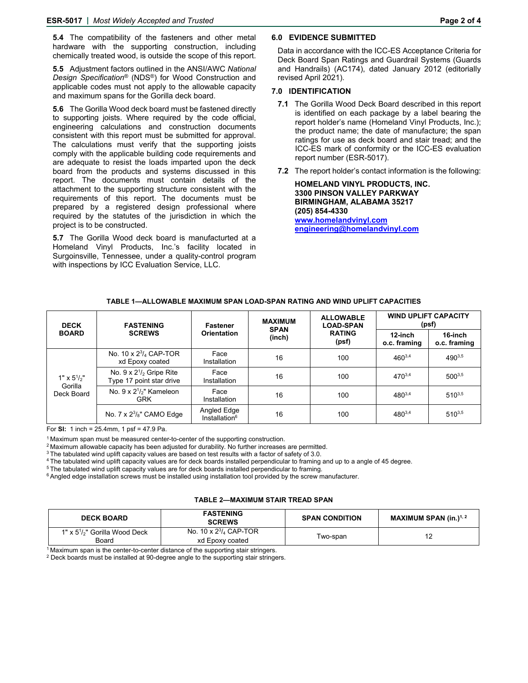**5.4** The compatibility of the fasteners and other metal hardware with the supporting construction, including chemically treated wood, is outside the scope of this report.

**5.5** Adjustment factors outlined in the ANSI/AWC *National Design Specification®* (NDS®) for Wood Construction and applicable codes must not apply to the allowable capacity and maximum spans for the Gorilla deck board.

**5.6** The Gorilla Wood deck board must be fastened directly to supporting joists. Where required by the code official, engineering calculations and construction documents consistent with this report must be submitted for approval. The calculations must verify that the supporting joists comply with the applicable building code requirements and are adequate to resist the loads imparted upon the deck board from the products and systems discussed in this report. The documents must contain details of the attachment to the supporting structure consistent with the requirements of this report. The documents must be prepared by a registered design professional where required by the statutes of the jurisdiction in which the project is to be constructed.

**5.7** The Gorilla Wood deck board is manufacturted at a Homeland Vinyl Products, Inc.'s facility located in Surgoinsville, Tennessee, under a quality-control program with inspections by ICC Evaluation Service, LLC.

#### **6.0 EVIDENCE SUBMITTED**

Data in accordance with the ICC-ES Acceptance Criteria for Deck Board Span Ratings and Guardrail Systems (Guards and Handrails) (AC174), dated January 2012 (editorially revised April 2021).

#### **7.0 IDENTIFICATION**

- **7.1** The Gorilla Wood Deck Board described in this report is identified on each package by a label bearing the report holder's name (Homeland Vinyl Products, Inc.); the product name; the date of manufacture; the span ratings for use as deck board and stair tread; and the ICC-ES mark of conformity or the ICC-ES evaluation report number (ESR-5017).
- **7.2** The report holder's contact information is the following:

**HOMELAND VINYL PRODUCTS, INC. 3300 PINSON VALLEY PARKWAY BIRMINGHAM, ALABAMA 35217 (205) 854-4330 www.homelandvinyl.com engineering@homelandvinyl.com**

| <b>DECK</b><br><b>BOARD</b>                | <b>FASTENING</b><br><b>SCREWS</b>                             | Fastener<br><b>Orientation</b>           | <b>MAXIMUM</b><br><b>SPAN</b><br>(inch) | <b>ALLOWABLE</b><br><b>LOAD-SPAN</b><br><b>RATING</b><br>(psf) | <b>WIND UPLIFT CAPACITY</b><br>(psf) |                         |
|--------------------------------------------|---------------------------------------------------------------|------------------------------------------|-----------------------------------------|----------------------------------------------------------------|--------------------------------------|-------------------------|
|                                            |                                                               |                                          |                                         |                                                                | 12-inch<br>o.c. framing              | 16-inch<br>o.c. framing |
| $1" \times 51/2"$<br>Gorilla<br>Deck Board | No. $10 \times 2^{3}/_{4}$ CAP-TOR<br>xd Epoxy coated         | Face<br>Installation                     | 16                                      | 100                                                            | $460^{3,4}$                          | $490^{3,5}$             |
|                                            | No. $9 \times 2^{1/2}$ Gripe Rite<br>Type 17 point star drive | Face<br>Installation                     | 16                                      | 100                                                            | 470 <sup>3,4</sup>                   | $500^{3,5}$             |
|                                            | No. $9 \times 2^{1/2}$ Kameleon<br><b>GRK</b>                 | Face<br>Installation                     | 16                                      | 100                                                            | $480^{3,4}$                          | $510^{3,5}$             |
|                                            | No. $7 \times 2^3 / _8$ " CAMO Edge                           | Angled Edge<br>Installation <sup>6</sup> | 16                                      | 100                                                            | $480^{3,4}$                          | $510^{3,5}$             |

## **TABLE 1—ALLOWABLE MAXIMUM SPAN LOAD-SPAN RATING AND WIND UPLIFT CAPACITIES**

For **SI:** 1 inch = 25.4mm, 1 psf = 47.9 Pa.

<sup>1</sup> Maximum span must be measured center-to-center of the supporting construction.<br>
<sup>2</sup> Maximum allowable capacity has been adjusted for durability. No further increases are permitted.<br>
<sup>3</sup> The tabulated wind uplift capac

#### **TABLE 2—MAXIMUM STAIR TREAD SPAN**

| <b>DECK BOARD</b>                                | <b>FASTENING</b><br><b>SCREWS</b>                  | <b>SPAN CONDITION</b> | MAXIMUM SPAN $(in.)1, 2$ |
|--------------------------------------------------|----------------------------------------------------|-----------------------|--------------------------|
| 1" x $5\frac{1}{2}$ " Gorilla Wood Deck<br>Board | No. 10 x $2\frac{3}{4}$ CAP-TOR<br>xd Epoxy coated | Two-span              |                          |

 $1$  Maximum span is the center-to-center distance of the supporting stair stringers.<br><sup>2</sup> Deck boards must be installed at 90-degree angle to the supporting stair stringers.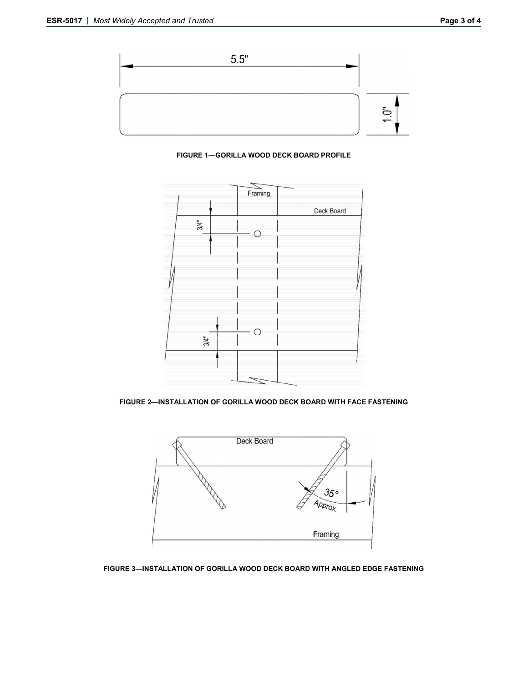





**FIGURE 2—INSTALLATION OF GORILLA WOOD DECK BOARD WITH FACE FASTENING**



**FIGURE 3—INSTALLATION OF GORILLA WOOD DECK BOARD WITH ANGLED EDGE FASTENING**